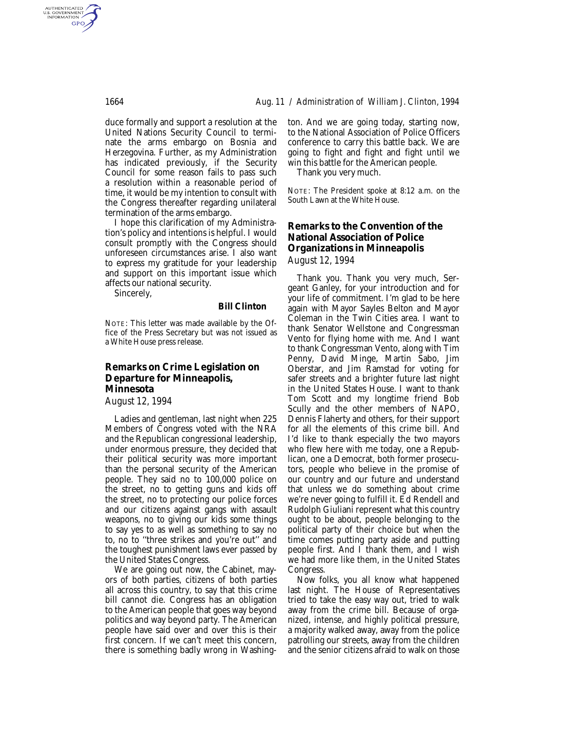1664 *Aug. 11 / Administration of William J. Clinton, 1994*

duce formally and support a resolution at the United Nations Security Council to terminate the arms embargo on Bosnia and Herzegovina. Further, as my Administration has indicated previously, if the Security Council for some reason fails to pass such a resolution within a reasonable period of time, it would be my intention to consult with the Congress thereafter regarding unilateral termination of the arms embargo.

I hope this clarification of my Administration's policy and intentions is helpful. I would consult promptly with the Congress should unforeseen circumstances arise. I also want to express my gratitude for your leadership and support on this important issue which affects our national security.

Sincerely,

#### **Bill Clinton**

NOTE: This letter was made available by the Office of the Press Secretary but was not issued as a White House press release.

# **Remarks on Crime Legislation on Departure for Minneapolis, Minnesota**

*August 12, 1994*

Ladies and gentleman, last night when 225 Members of Congress voted with the NRA and the Republican congressional leadership, under enormous pressure, they decided that their political security was more important than the personal security of the American people. They said no to 100,000 police on the street, no to getting guns and kids off the street, no to protecting our police forces and our citizens against gangs with assault weapons, no to giving our kids some things to say yes to as well as something to say no to, no to ''three strikes and you're out'' and the toughest punishment laws ever passed by the United States Congress.

We are going out now, the Cabinet, mayors of both parties, citizens of both parties all across this country, to say that this crime bill cannot die. Congress has an obligation to the American people that goes way beyond politics and way beyond party. The American people have said over and over this is their first concern. If we can't meet this concern, there is something badly wrong in Washing-

ton. And we are going today, starting now, to the National Association of Police Officers conference to carry this battle back. We are going to fight and fight and fight until we win this battle for the American people.

Thank you very much.

NOTE: The President spoke at 8:12 a.m. on the South Lawn at the White House.

# **Remarks to the Convention of the National Association of Police Organizations in Minneapolis** *August 12, 1994*

Thank you. Thank you very much, Sergeant Ganley, for your introduction and for your life of commitment. I'm glad to be here again with Mayor Sayles Belton and Mayor Coleman in the Twin Cities area. I want to thank Senator Wellstone and Congressman Vento for flying home with me. And I want to thank Congressman Vento, along with Tim Penny, David Minge, Martin Sabo, Jim Oberstar, and Jim Ramstad for voting for safer streets and a brighter future last night in the United States House. I want to thank Tom Scott and my longtime friend Bob Scully and the other members of NAPO, Dennis Flaherty and others, for their support for all the elements of this crime bill. And I'd like to thank especially the two mayors who flew here with me today, one a Republican, one a Democrat, both former prosecutors, people who believe in the promise of our country and our future and understand that unless we do something about crime we're never going to fulfill it. Ed Rendell and Rudolph Giuliani represent what this country ought to be about, people belonging to the political party of their choice but when the time comes putting party aside and putting people first. And I thank them, and I wish we had more like them, in the United States Congress.

Now folks, you all know what happened last night. The House of Representatives tried to take the easy way out, tried to walk away from the crime bill. Because of organized, intense, and highly political pressure, a majority walked away, away from the police patrolling our streets, away from the children and the senior citizens afraid to walk on those

AUTHENTICATED<br>U.S. GOVERNMENT<br>INFORMATION **GPO**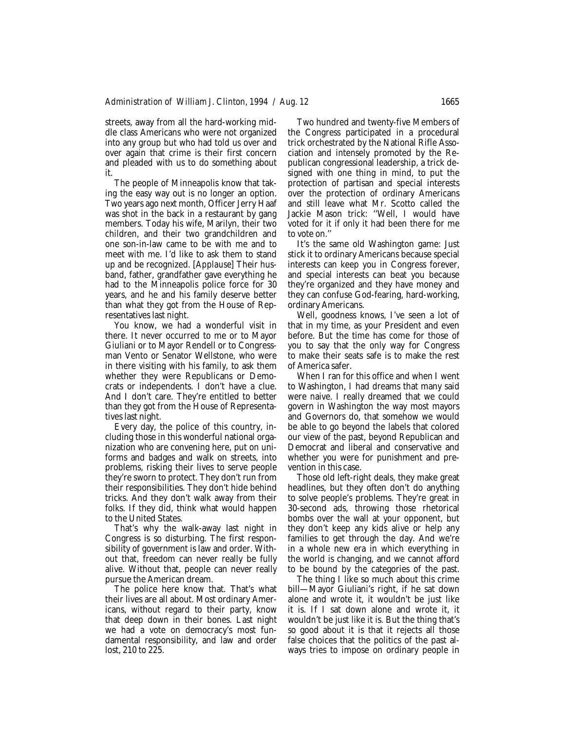streets, away from all the hard-working middle class Americans who were not organized into any group but who had told us over and over again that crime is their first concern and pleaded with us to do something about it.

The people of Minneapolis know that taking the easy way out is no longer an option. Two years ago next month, Officer Jerry Haaf was shot in the back in a restaurant by gang members. Today his wife, Marilyn, their two children, and their two grandchildren and one son-in-law came to be with me and to meet with me. I'd like to ask them to stand up and be recognized. [*Applause*] Their husband, father, grandfather gave everything he had to the Minneapolis police force for 30 years, and he and his family deserve better than what they got from the House of Representatives last night.

You know, we had a wonderful visit in there. It never occurred to me or to Mayor Giuliani or to Mayor Rendell or to Congressman Vento or Senator Wellstone, who were in there visiting with his family, to ask them whether they were Republicans or Democrats or independents. I don't have a clue. And I don't care. They're entitled to better than they got from the House of Representatives last night.

Every day, the police of this country, including those in this wonderful national organization who are convening here, put on uniforms and badges and walk on streets, into problems, risking their lives to serve people they're sworn to protect. They don't run from their responsibilities. They don't hide behind tricks. And they don't walk away from their folks. If they did, think what would happen to the United States.

That's why the walk-away last night in Congress is so disturbing. The first responsibility of government is law and order. Without that, freedom can never really be fully alive. Without that, people can never really pursue the American dream.

The police here know that. That's what their lives are all about. Most ordinary Americans, without regard to their party, know that deep down in their bones. Last night we had a vote on democracy's most fundamental responsibility, and law and order lost, 210 to 225.

Two hundred and twenty-five Members of the Congress participated in a procedural trick orchestrated by the National Rifle Association and intensely promoted by the Republican congressional leadership, a trick designed with one thing in mind, to put the protection of partisan and special interests over the protection of ordinary Americans and still leave what Mr. Scotto called the Jackie Mason trick: ''Well, I would have voted for it if only it had been there for me to vote on.''

It's the same old Washington game: Just stick it to ordinary Americans because special interests can keep you in Congress forever, and special interests can beat you because they're organized and they have money and they can confuse God-fearing, hard-working, ordinary Americans.

Well, goodness knows, I've seen a lot of that in my time, as your President and even before. But the time has come for those of you to say that the only way for Congress to make their seats safe is to make the rest of America safer.

When I ran for this office and when I went to Washington, I had dreams that many said were naive. I really dreamed that we could govern in Washington the way most mayors and Governors do, that somehow we would be able to go beyond the labels that colored our view of the past, beyond Republican and Democrat and liberal and conservative and whether you were for punishment and prevention in this case.

Those old left-right deals, they make great headlines, but they often don't do anything to solve people's problems. They're great in 30-second ads, throwing those rhetorical bombs over the wall at your opponent, but they don't keep any kids alive or help any families to get through the day. And we're in a whole new era in which everything in the world is changing, and we cannot afford to be bound by the categories of the past.

The thing I like so much about this crime bill—Mayor Giuliani's right, if he sat down alone and wrote it, it wouldn't be just like it is. If I sat down alone and wrote it, it wouldn't be just like it is. But the thing that's so good about it is that it rejects all those false choices that the politics of the past always tries to impose on ordinary people in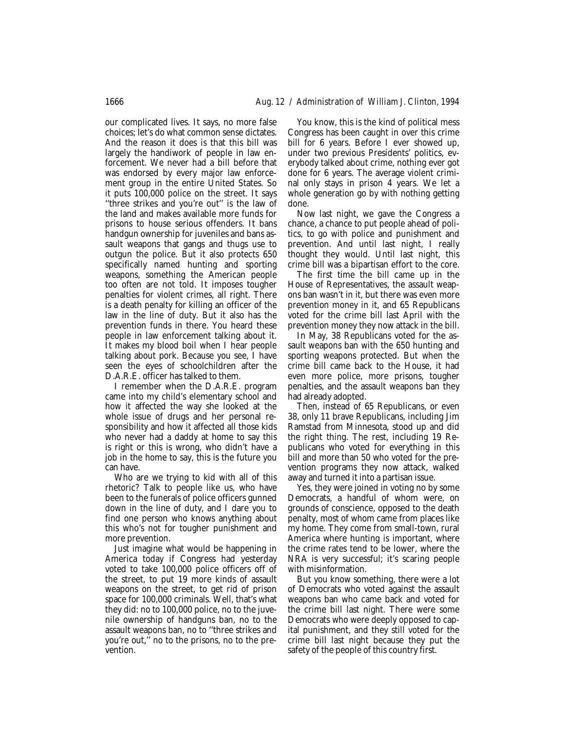our complicated lives. It says, no more false choices; let's do what common sense dictates. And the reason it does is that this bill was largely the handiwork of people in law enforcement. We never had a bill before that was endorsed by every major law enforcement group in the entire United States. So it puts 100,000 police on the street. It says ''three strikes and you're out'' is the law of the land and makes available more funds for prisons to house serious offenders. It bans handgun ownership for juveniles and bans assault weapons that gangs and thugs use to outgun the police. But it also protects 650 specifically named hunting and sporting weapons, something the American people too often are not told. It imposes tougher penalties for violent crimes, all right. There is a death penalty for killing an officer of the law in the line of duty. But it also has the prevention funds in there. You heard these people in law enforcement talking about it. It makes my blood boil when I hear people talking about pork. Because you see, I have seen the eyes of schoolchildren after the D.A.R.E. officer has talked to them.

I remember when the D.A.R.E. program came into my child's elementary school and how it affected the way she looked at the whole issue of drugs and her personal responsibility and how it affected all those kids who never had a daddy at home to say this is right or this is wrong, who didn't have a job in the home to say, this is the future you can have.

Who are we trying to kid with all of this rhetoric? Talk to people like us, who have been to the funerals of police officers gunned down in the line of duty, and I dare you to find one person who knows anything about this who's not for tougher punishment and more prevention.

Just imagine what would be happening in America today if Congress had yesterday voted to take 100,000 police officers off of the street, to put 19 more kinds of assault weapons on the street, to get rid of prison space for 100,000 criminals. Well, that's what they did: no to 100,000 police, no to the juvenile ownership of handguns ban, no to the assault weapons ban, no to ''three strikes and you're out,'' no to the prisons, no to the prevention.

You know, this is the kind of political mess Congress has been caught in over this crime bill for 6 years. Before I ever showed up, under two previous Presidents' politics, everybody talked about crime, nothing ever got done for 6 years. The average violent criminal only stays in prison 4 years. We let a whole generation go by with nothing getting done.

Now last night, we gave the Congress a chance, a chance to put people ahead of politics, to go with police and punishment and prevention. And until last night, I really thought they would. Until last night, this crime bill was a bipartisan effort to the core.

The first time the bill came up in the House of Representatives, the assault weapons ban wasn't in it, but there was even more prevention money in it, and 65 Republicans voted for the crime bill last April with the prevention money they now attack in the bill.

In May, 38 Republicans voted for the assault weapons ban with the 650 hunting and sporting weapons protected. But when the crime bill came back to the House, it had even more police, more prisons, tougher penalties, and the assault weapons ban they had already adopted.

Then, instead of 65 Republicans, or even 38, only 11 brave Republicans, including Jim Ramstad from Minnesota, stood up and did the right thing. The rest, including 19 Republicans who voted for everything in this bill and more than 50 who voted for the prevention programs they now attack, walked away and turned it into a partisan issue.

Yes, they were joined in voting no by some Democrats, a handful of whom were, on grounds of conscience, opposed to the death penalty, most of whom came from places like my home. They come from small-town, rural America where hunting is important, where the crime rates tend to be lower, where the NRA is very successful; it's scaring people with misinformation.

But you know something, there were a lot of Democrats who voted against the assault weapons ban who came back and voted for the crime bill last night. There were some Democrats who were deeply opposed to capital punishment, and they still voted for the crime bill last night because they put the safety of the people of this country first.